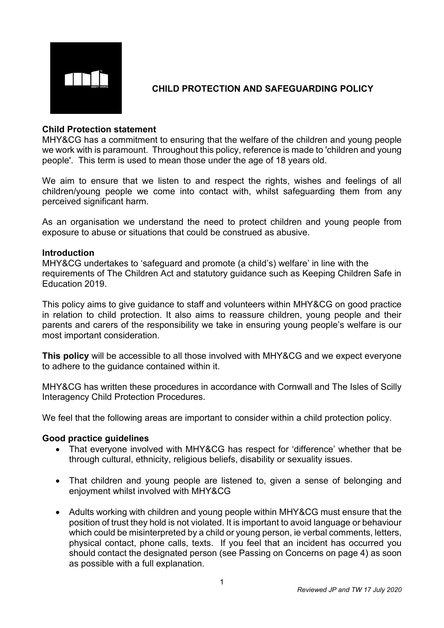

# **CHILD PROTECTION AND SAFEGUARDING POLICY**

## **Child Protection statement**

MHY&CG has a commitment to ensuring that the welfare of the children and young people we work with is paramount. Throughout this policy, reference is made to 'children and young people'. This term is used to mean those under the age of 18 years old.

We aim to ensure that we listen to and respect the rights, wishes and feelings of all children/young people we come into contact with, whilst safeguarding them from any perceived significant harm.

As an organisation we understand the need to protect children and young people from exposure to abuse or situations that could be construed as abusive.

#### **Introduction**

MHY&CG undertakes to 'safeguard and promote (a child's) welfare' in line with the requirements of The Children Act and statutory guidance such as Keeping Children Safe in Education 2019.

This policy aims to give guidance to staff and volunteers within MHY&CG on good practice in relation to child protection. It also aims to reassure children, young people and their parents and carers of the responsibility we take in ensuring young people's welfare is our most important consideration.

**This policy** will be accessible to all those involved with MHY&CG and we expect everyone to adhere to the guidance contained within it.

MHY&CG has written these procedures in accordance with Cornwall and The Isles of Scilly Interagency Child Protection Procedures.

We feel that the following areas are important to consider within a child protection policy.

#### **Good practice guidelines**

- That everyone involved with MHY&CG has respect for 'difference' whether that be through cultural, ethnicity, religious beliefs, disability or sexuality issues.
- That children and young people are listened to, given a sense of belonging and enjoyment whilst involved with MHY&CG
- Adults working with children and young people within MHY&CG must ensure that the position of trust they hold is not violated. It is important to avoid language or behaviour which could be misinterpreted by a child or young person, ie verbal comments, letters, physical contact, phone calls, texts. If you feel that an incident has occurred you should contact the designated person (see Passing on Concerns on page 4) as soon as possible with a full explanation.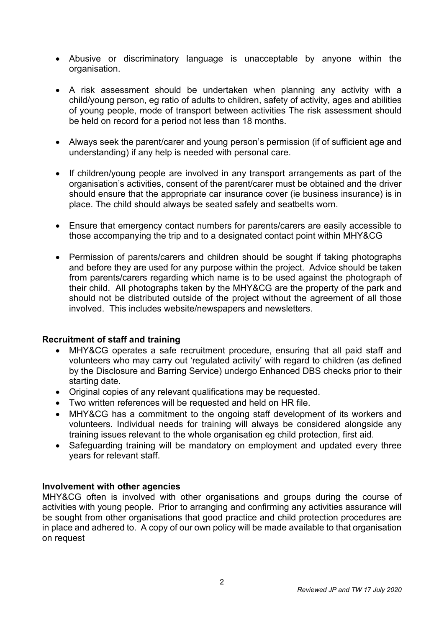- Abusive or discriminatory language is unacceptable by anyone within the organisation.
- A risk assessment should be undertaken when planning any activity with a child/young person, eg ratio of adults to children, safety of activity, ages and abilities of young people, mode of transport between activities The risk assessment should be held on record for a period not less than 18 months.
- Always seek the parent/carer and young person's permission (if of sufficient age and understanding) if any help is needed with personal care.
- If children/young people are involved in any transport arrangements as part of the organisation's activities, consent of the parent/carer must be obtained and the driver should ensure that the appropriate car insurance cover (ie business insurance) is in place. The child should always be seated safely and seatbelts worn.
- Ensure that emergency contact numbers for parents/carers are easily accessible to those accompanying the trip and to a designated contact point within MHY&CG
- Permission of parents/carers and children should be sought if taking photographs and before they are used for any purpose within the project. Advice should be taken from parents/carers regarding which name is to be used against the photograph of their child. All photographs taken by the MHY&CG are the property of the park and should not be distributed outside of the project without the agreement of all those involved. This includes website/newspapers and newsletters.

## **Recruitment of staff and training**

- MHY&CG operates a safe recruitment procedure, ensuring that all paid staff and volunteers who may carry out 'regulated activity' with regard to children (as defined by the Disclosure and Barring Service) undergo Enhanced DBS checks prior to their starting date.
- Original copies of any relevant qualifications may be requested.
- Two written references will be requested and held on HR file.
- MHY&CG has a commitment to the ongoing staff development of its workers and volunteers. Individual needs for training will always be considered alongside any training issues relevant to the whole organisation eg child protection, first aid.
- Safeguarding training will be mandatory on employment and updated every three years for relevant staff.

## **Involvement with other agencies**

MHY&CG often is involved with other organisations and groups during the course of activities with young people. Prior to arranging and confirming any activities assurance will be sought from other organisations that good practice and child protection procedures are in place and adhered to. A copy of our own policy will be made available to that organisation on request